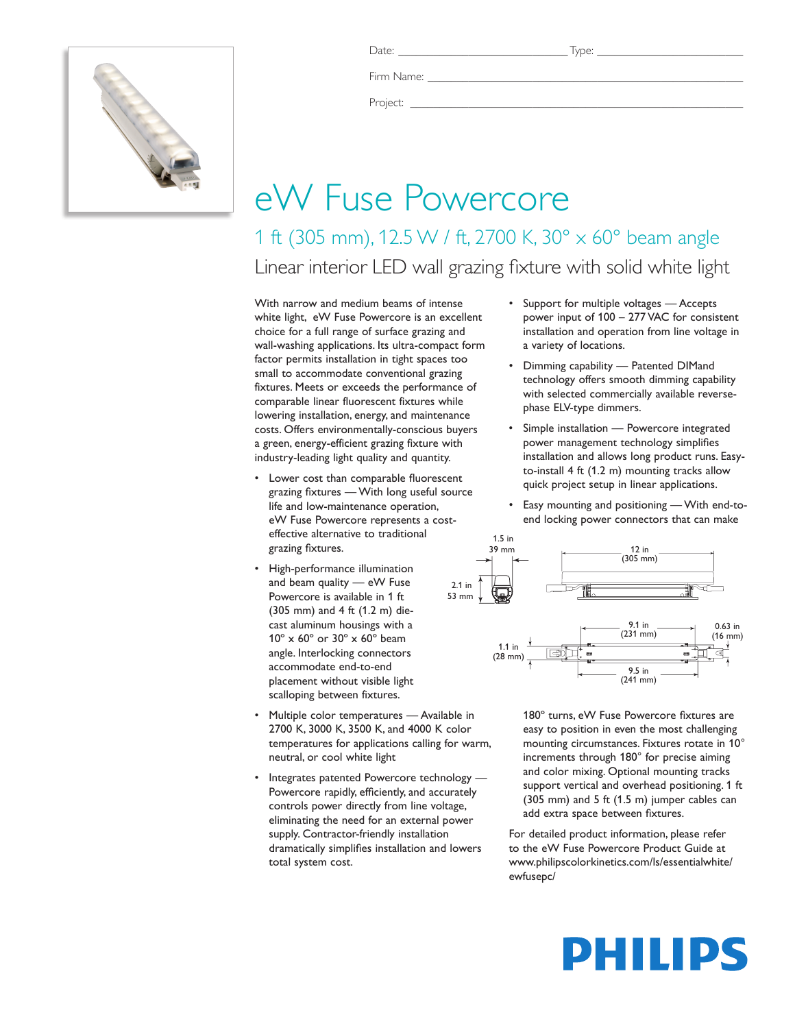

Date: \_\_\_\_\_\_\_\_\_\_\_\_\_\_\_\_\_\_\_\_\_\_\_\_\_\_\_\_\_ Type: \_\_\_\_\_\_\_\_\_\_\_\_\_\_\_\_\_\_\_\_\_\_\_\_\_

Firm Name:

Project: \_\_\_\_\_\_\_\_\_\_\_\_\_\_\_\_\_\_\_\_\_\_\_\_\_\_\_\_\_\_\_\_\_\_\_\_\_\_\_\_\_\_\_\_\_\_\_\_\_\_\_\_\_\_\_\_\_

## eW Fuse Powercore

1 ft (305 mm), 12.5 W / ft, 2700 K, 30° x 60° beam angle Linear interior LED wall grazing fixture with solid white light

With narrow and medium beams of intense white light, eW Fuse Powercore is an excellent choice for a full range of surface grazing and wall-washing applications. Its ultra-compact form factor permits installation in tight spaces too small to accommodate conventional grazing fixtures. Meets or exceeds the performance of comparable linear fluorescent fixtures while lowering installation, energy, and maintenance costs. Offers environmentally-conscious buyers a green, energy-efficient grazing fixture with industry-leading light quality and quantity.

- Lower cost than comparable fluorescent grazing fixtures — With long useful source life and low-maintenance operation, eW Fuse Powercore represents a costeffective alternative to traditional grazing fixtures.
- • High-performance illumination and beam quality — eW Fuse Powercore is available in 1 ft (305 mm) and 4 ft (1.2 m) diecast aluminum housings with a 10º x 60º or 30º x 60º beam angle. Interlocking connectors accommodate end-to-end placement without visible light scalloping between fixtures.
- Multiple color temperatures Available in 2700 K, 3000 K, 3500 K, and 4000 K color temperatures for applications calling for warm, neutral, or cool white light
- Integrates patented Powercore technology -Powercore rapidly, efficiently, and accurately controls power directly from line voltage, eliminating the need for an external power supply. Contractor-friendly installation dramatically simplifies installation and lowers total system cost.
- • Support for multiple voltages Accepts power input of 100 – 277 VAC for consistent installation and operation from line voltage in a variety of locations.
- • Dimming capability Patented DIMand technology offers smooth dimming capability with selected commercially available reversephase ELV-type dimmers.
- Simple installation Powercore integrated power management technology simplifies installation and allows long product runs. Easyto-install 4 ft (1.2 m) mounting tracks allow quick project setup in linear applications.
- Easy mounting and positioning With end-toend locking power connectors that can make



180º turns, eW Fuse Powercore fixtures are easy to position in even the most challenging mounting circumstances. Fixtures rotate in 10° increments through 180° for precise aiming and color mixing. Optional mounting tracks support vertical and overhead positioning. 1 ft (305 mm) and 5 ft (1.5 m) jumper cables can add extra space between fixtures.

For detailed product information, please refer to the eW Fuse Powercore Product Guide at www.philipscolorkinetics.com/ls/essentialwhite/ ewfusepc/

# PHILIPS